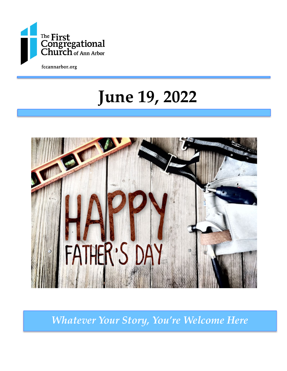

fccannarbor.org

# **June 19, 2022**



*Whatever Your Story, You're Welcome Here*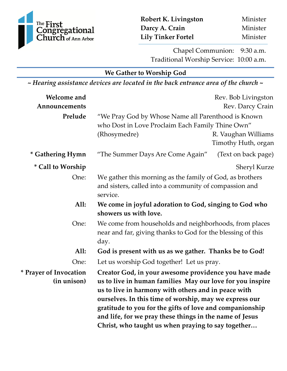

**Robert K. Livingston**  Minister **Darcy A. Crain**  Minister **Lily Tinker Fortel** Minister

Chapel Communion: 9:30 a.m. Traditional Worship Service: 10:00 a.m.

### **We Gather to Worship God**

*~ Hearing assistance devices are located in the back entrance area of the church ~*

| <b>Welcome</b> and                    |                                                                                                                                                                                                                                                                                                                                                                                                                  | Rev. Bob Livingston                        |  |
|---------------------------------------|------------------------------------------------------------------------------------------------------------------------------------------------------------------------------------------------------------------------------------------------------------------------------------------------------------------------------------------------------------------------------------------------------------------|--------------------------------------------|--|
| Announcements                         |                                                                                                                                                                                                                                                                                                                                                                                                                  | Rev. Darcy Crain                           |  |
| Prelude                               | "We Pray God by Whose Name all Parenthood is Known<br>who Dost in Love Proclaim Each Family Thine Own"<br>(Rhosymedre)                                                                                                                                                                                                                                                                                           | R. Vaughan Williams<br>Timothy Huth, organ |  |
| * Gathering Hymn                      | "The Summer Days Are Come Again"                                                                                                                                                                                                                                                                                                                                                                                 | (Text on back page)                        |  |
| * Call to Worship                     |                                                                                                                                                                                                                                                                                                                                                                                                                  | <b>Sheryl Kurze</b>                        |  |
| One:                                  | We gather this morning as the family of God, as brothers<br>and sisters, called into a community of compassion and<br>service.                                                                                                                                                                                                                                                                                   |                                            |  |
| All:                                  | We come in joyful adoration to God, singing to God who<br>showers us with love.<br>We come from households and neighborhoods, from places<br>near and far, giving thanks to God for the blessing of this<br>day.<br>God is present with us as we gather. Thanks be to God!                                                                                                                                       |                                            |  |
| One:                                  |                                                                                                                                                                                                                                                                                                                                                                                                                  |                                            |  |
| All:                                  |                                                                                                                                                                                                                                                                                                                                                                                                                  |                                            |  |
| One:                                  | Let us worship God together! Let us pray.                                                                                                                                                                                                                                                                                                                                                                        |                                            |  |
| * Prayer of Invocation<br>(in unison) | Creator God, in your awesome providence you have made<br>us to live in human families May our love for you inspire<br>us to live in harmony with others and in peace with<br>ourselves. In this time of worship, may we express our<br>gratitude to you for the gifts of love and companionship<br>and life, for we pray these things in the name of Jesus<br>Christ, who taught us when praying to say together |                                            |  |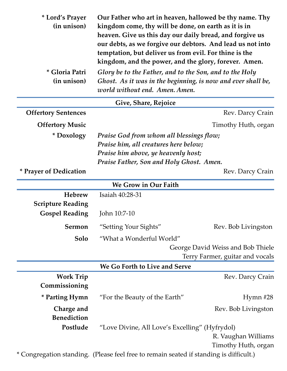| * Lord's Prayer<br>(in unison)    | Our Father who art in heaven, hallowed be thy name. Thy<br>kingdom come, thy will be done, on earth as it is in<br>heaven. Give us this day our daily bread, and forgive us<br>our debts, as we forgive our debtors. And lead us not into<br>temptation, but deliver us from evil. For thine is the<br>kingdom, and the power, and the glory, forever. Amen. |                                   |  |  |
|-----------------------------------|--------------------------------------------------------------------------------------------------------------------------------------------------------------------------------------------------------------------------------------------------------------------------------------------------------------------------------------------------------------|-----------------------------------|--|--|
| * Gloria Patri<br>(in unison)     | Glory be to the Father, and to the Son, and to the Holy<br>Ghost. As it was in the beginning, is now and ever shall be,<br>world without end. Amen. Amen.                                                                                                                                                                                                    |                                   |  |  |
|                                   | Give, Share, Rejoice                                                                                                                                                                                                                                                                                                                                         |                                   |  |  |
| <b>Offertory Sentences</b>        |                                                                                                                                                                                                                                                                                                                                                              | Rev. Darcy Crain                  |  |  |
| <b>Offertory Music</b>            |                                                                                                                                                                                                                                                                                                                                                              | Timothy Huth, organ               |  |  |
| * Doxology                        | Praise God from whom all blessings flow;<br>Praise him, all creatures here below;<br>Praise him above, ye heavenly host;                                                                                                                                                                                                                                     |                                   |  |  |
|                                   | Praise Father, Son and Holy Ghost. Amen.                                                                                                                                                                                                                                                                                                                     |                                   |  |  |
| * Prayer of Dedication            |                                                                                                                                                                                                                                                                                                                                                              | Rev. Darcy Crain                  |  |  |
|                                   | We Grow in Our Faith                                                                                                                                                                                                                                                                                                                                         |                                   |  |  |
| <b>Hebrew</b>                     | Isaiah 40:28-31                                                                                                                                                                                                                                                                                                                                              |                                   |  |  |
| <b>Scripture Reading</b>          |                                                                                                                                                                                                                                                                                                                                                              |                                   |  |  |
| <b>Gospel Reading</b>             | John 10:7-10                                                                                                                                                                                                                                                                                                                                                 |                                   |  |  |
| Sermon                            | "Setting Your Sights"                                                                                                                                                                                                                                                                                                                                        | Rev. Bob Livingston               |  |  |
| Solo                              | "What a Wonderful World"                                                                                                                                                                                                                                                                                                                                     |                                   |  |  |
|                                   |                                                                                                                                                                                                                                                                                                                                                              | George David Weiss and Bob Thiele |  |  |
|                                   |                                                                                                                                                                                                                                                                                                                                                              | Terry Farmer, guitar and vocals   |  |  |
|                                   | We Go Forth to Live and Serve                                                                                                                                                                                                                                                                                                                                |                                   |  |  |
| <b>Work Trip</b><br>Commissioning |                                                                                                                                                                                                                                                                                                                                                              | Rev. Darcy Crain                  |  |  |
| * Parting Hymn                    | "For the Beauty of the Earth"                                                                                                                                                                                                                                                                                                                                | Hymn $#28$                        |  |  |
| Charge and<br><b>Benediction</b>  |                                                                                                                                                                                                                                                                                                                                                              | Rev. Bob Livingston               |  |  |
| Postlude                          | "Love Divine, All Love's Excelling" (Hyfrydol)                                                                                                                                                                                                                                                                                                               |                                   |  |  |
|                                   |                                                                                                                                                                                                                                                                                                                                                              | R. Vaughan Williams               |  |  |
|                                   | * Congregation standing. (Please feel free to remain seated if standing is difficult.)                                                                                                                                                                                                                                                                       | Timothy Huth, organ               |  |  |